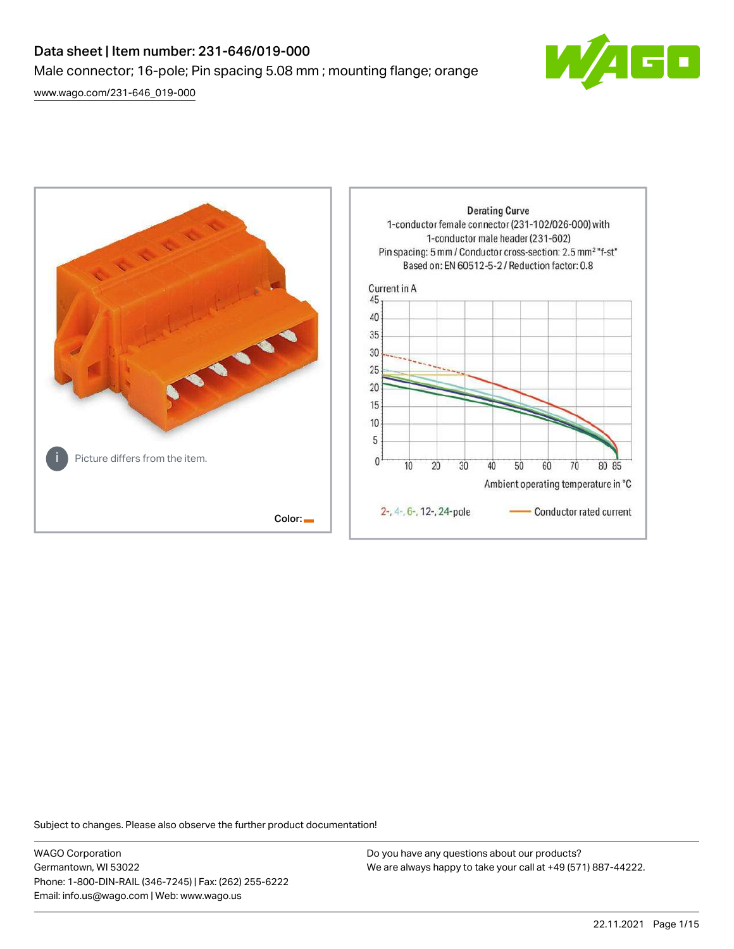# Data sheet | Item number: 231-646/019-000 Male connector; 16-pole; Pin spacing 5.08 mm ; mounting flange; orange

[www.wago.com/231-646\\_019-000](http://www.wago.com/231-646_019-000)





Subject to changes. Please also observe the further product documentation!

WAGO Corporation Germantown, WI 53022 Phone: 1-800-DIN-RAIL (346-7245) | Fax: (262) 255-6222 Email: info.us@wago.com | Web: www.wago.us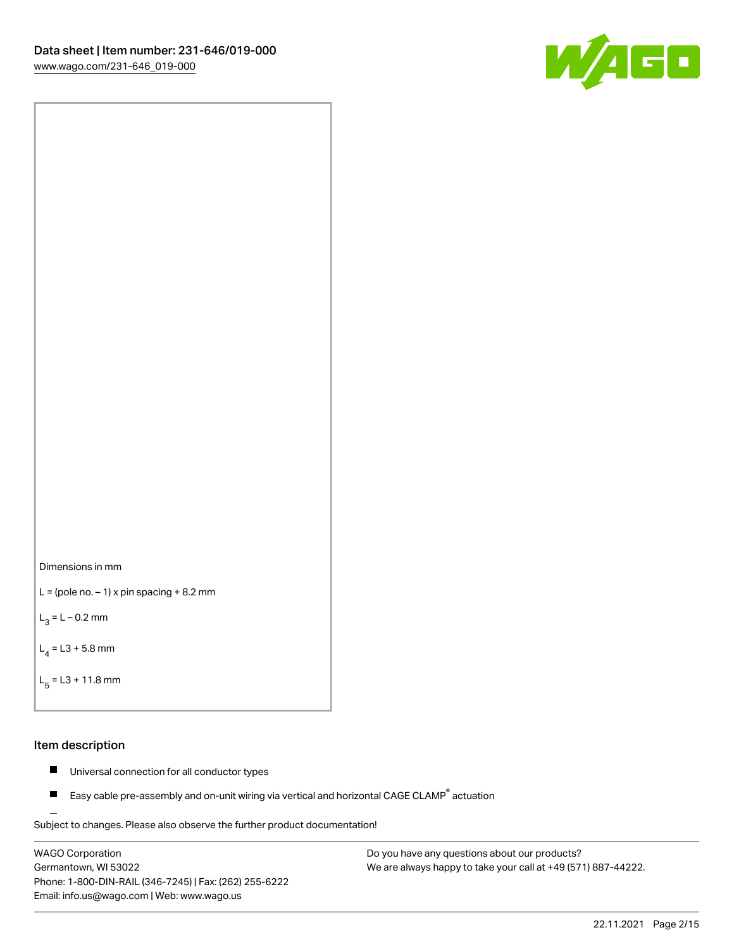



```
L = (pole no. -1) x pin spacing +8.2 mm
```
 $L_3 = L - 0.2$  mm

```
L_4 = L3 + 5.8 mm
```

```
L_{\rm g} = L3 + 11.8 mm
```
#### Item description

- $\blacksquare$ Universal connection for all conductor types
- Easy cable pre-assembly and on-unit wiring via vertical and horizontal CAGE CLAMP<sup>®</sup> actuation  $\blacksquare$

Subject to changes. Please also observe the further product documentation! For wire-to-wire and board-to-wire connections

WAGO Corporation Germantown, WI 53022 Phone: 1-800-DIN-RAIL (346-7245) | Fax: (262) 255-6222 Email: info.us@wago.com | Web: www.wago.us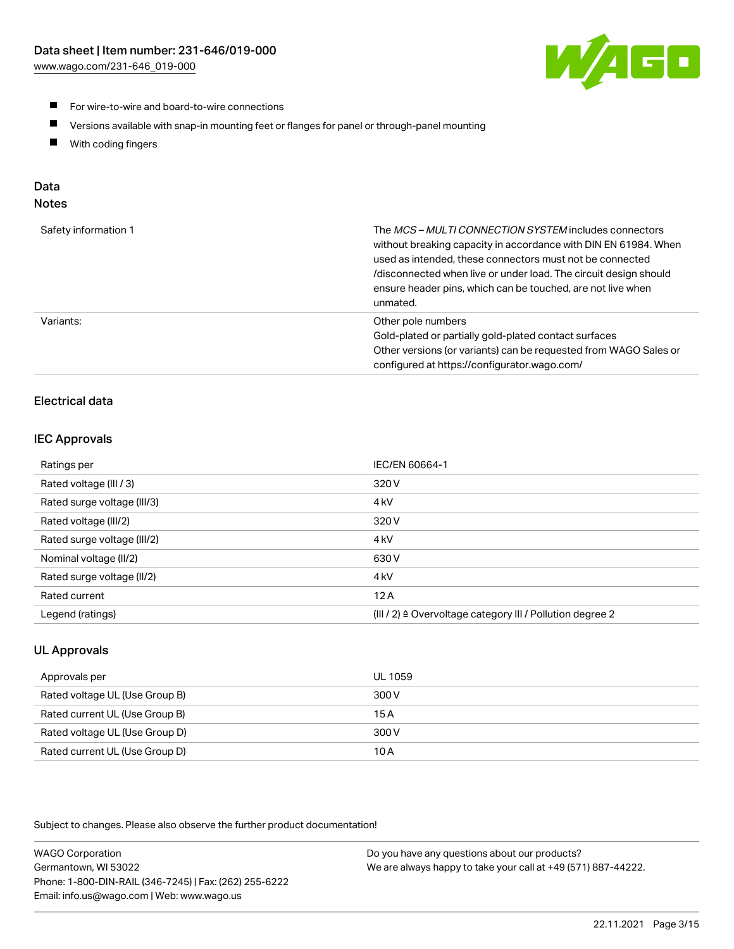

- For wire-to-wire and board-to-wire connections
- $\blacksquare$ Versions available with snap-in mounting feet or flanges for panel or through-panel mounting
- $\blacksquare$ With coding fingers

# Data

## Notes

| Safety information 1 | The MCS-MULTI CONNECTION SYSTEM includes connectors<br>without breaking capacity in accordance with DIN EN 61984. When<br>used as intended, these connectors must not be connected<br>/disconnected when live or under load. The circuit design should<br>ensure header pins, which can be touched, are not live when<br>unmated. |
|----------------------|-----------------------------------------------------------------------------------------------------------------------------------------------------------------------------------------------------------------------------------------------------------------------------------------------------------------------------------|
| Variants:            | Other pole numbers<br>Gold-plated or partially gold-plated contact surfaces<br>Other versions (or variants) can be requested from WAGO Sales or<br>configured at https://configurator.wago.com/                                                                                                                                   |

## Electrical data

### IEC Approvals

| Ratings per                 | IEC/EN 60664-1                                                        |
|-----------------------------|-----------------------------------------------------------------------|
| Rated voltage (III / 3)     | 320 V                                                                 |
| Rated surge voltage (III/3) | 4 <sub>k</sub> V                                                      |
| Rated voltage (III/2)       | 320 V                                                                 |
| Rated surge voltage (III/2) | 4 <sub>k</sub> V                                                      |
| Nominal voltage (II/2)      | 630 V                                                                 |
| Rated surge voltage (II/2)  | 4 <sub>k</sub> V                                                      |
| Rated current               | 12A                                                                   |
| Legend (ratings)            | $(III / 2)$ $\triangle$ Overvoltage category III / Pollution degree 2 |

## UL Approvals

| Approvals per                  | UL 1059 |
|--------------------------------|---------|
| Rated voltage UL (Use Group B) | 300 V   |
| Rated current UL (Use Group B) | 15 A    |
| Rated voltage UL (Use Group D) | 300 V   |
| Rated current UL (Use Group D) | 10 A    |

Subject to changes. Please also observe the further product documentation!

| <b>WAGO Corporation</b>                                | Do you have any questions about our products?                 |
|--------------------------------------------------------|---------------------------------------------------------------|
| Germantown, WI 53022                                   | We are always happy to take your call at +49 (571) 887-44222. |
| Phone: 1-800-DIN-RAIL (346-7245)   Fax: (262) 255-6222 |                                                               |
| Email: info.us@wago.com   Web: www.wago.us             |                                                               |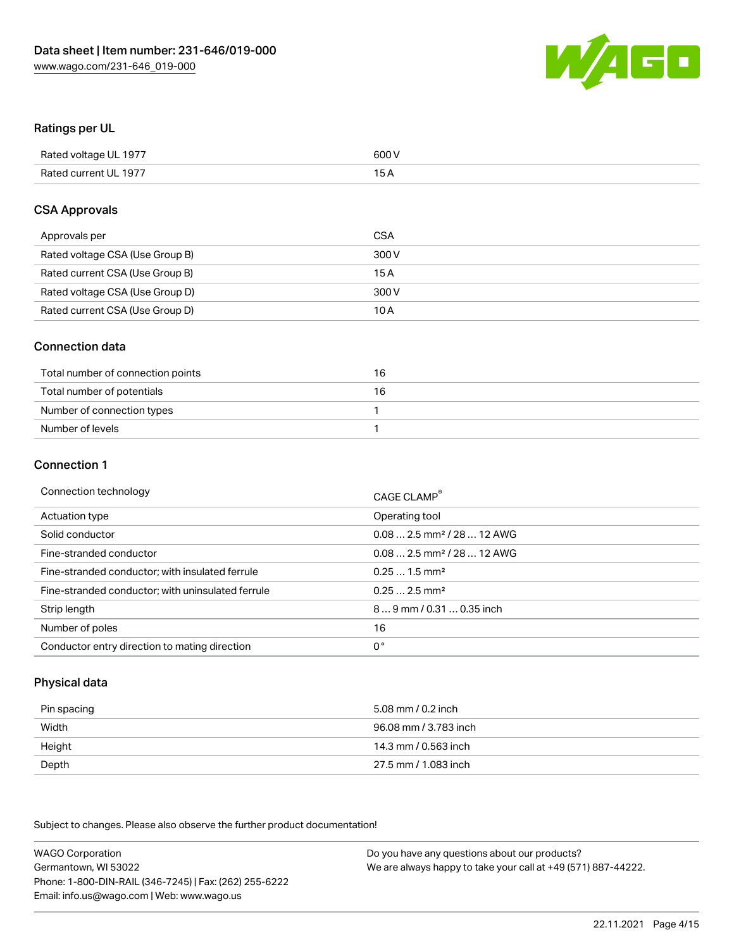

#### Ratings per UL

| Rated voltage UL 1977 | 600 V |
|-----------------------|-------|
| Rated current UL 1977 | 1 E   |

#### CSA Approvals

| Approvals per                   | CSA   |
|---------------------------------|-------|
| Rated voltage CSA (Use Group B) | 300 V |
| Rated current CSA (Use Group B) | 15 A  |
| Rated voltage CSA (Use Group D) | 300 V |
| Rated current CSA (Use Group D) | 10 A  |

#### Connection data

| Total number of connection points | 16 |
|-----------------------------------|----|
| Total number of potentials        | 16 |
| Number of connection types        |    |
| Number of levels                  |    |

#### Connection 1

| Connection technology                             | CAGE CLAMP <sup>®</sup>                |
|---------------------------------------------------|----------------------------------------|
| Actuation type                                    | Operating tool                         |
| Solid conductor                                   | $0.082.5$ mm <sup>2</sup> / 28  12 AWG |
| Fine-stranded conductor                           | $0.082.5$ mm <sup>2</sup> / 28  12 AWG |
| Fine-stranded conductor; with insulated ferrule   | $0.251.5$ mm <sup>2</sup>              |
| Fine-stranded conductor; with uninsulated ferrule | $0.252.5$ mm <sup>2</sup>              |
| Strip length                                      | 89 mm / 0.31  0.35 inch                |
| Number of poles                                   | 16                                     |
| Conductor entry direction to mating direction     | 0°                                     |

### Physical data

| Pin spacing | 5.08 mm / 0.2 inch    |
|-------------|-----------------------|
| Width       | 96.08 mm / 3.783 inch |
| Height      | 14.3 mm / 0.563 inch  |
| Depth       | 27.5 mm / 1.083 inch  |

Subject to changes. Please also observe the further product documentation!

WAGO Corporation Germantown, WI 53022 Phone: 1-800-DIN-RAIL (346-7245) | Fax: (262) 255-6222 Email: info.us@wago.com | Web: www.wago.us Do you have any questions about our products? We are always happy to take your call at +49 (571) 887-44222.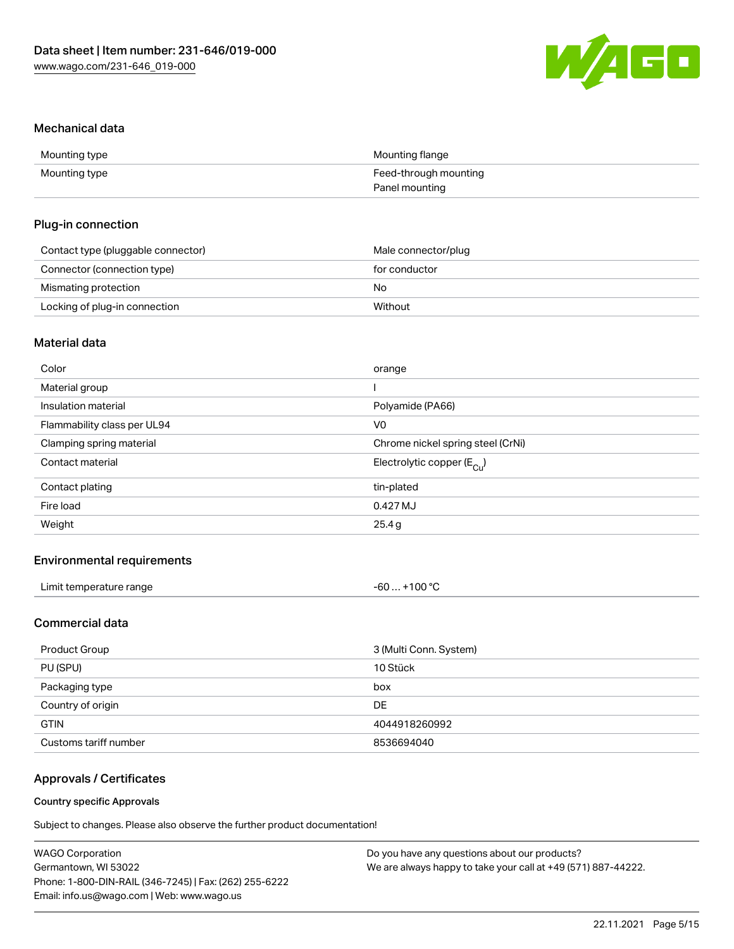

#### Mechanical data

| Mounting type | Mounting flange       |
|---------------|-----------------------|
| Mounting type | Feed-through mounting |
|               | Panel mounting        |

#### Plug-in connection

| Contact type (pluggable connector) | Male connector/plug |
|------------------------------------|---------------------|
| Connector (connection type)        | for conductor       |
| Mismating protection               | No                  |
| Locking of plug-in connection      | Without             |

## Material data

| Color                       | orange                                |
|-----------------------------|---------------------------------------|
| Material group              |                                       |
| Insulation material         | Polyamide (PA66)                      |
| Flammability class per UL94 | V <sub>0</sub>                        |
| Clamping spring material    | Chrome nickel spring steel (CrNi)     |
| Contact material            | Electrolytic copper $(E_{\text{Cl}})$ |
| Contact plating             | tin-plated                            |
| Fire load                   | 0.427 MJ                              |
| Weight                      | 25.4g                                 |
|                             |                                       |

### Environmental requirements

| Limit temperature range | +100 $^{\circ}$ C<br>-60 |
|-------------------------|--------------------------|
|-------------------------|--------------------------|

## Commercial data

| Product Group         | 3 (Multi Conn. System) |
|-----------------------|------------------------|
| PU (SPU)              | 10 Stück               |
| Packaging type        | box                    |
| Country of origin     | DE.                    |
| <b>GTIN</b>           | 4044918260992          |
| Customs tariff number | 8536694040             |

## Approvals / Certificates

#### Country specific Approvals

Subject to changes. Please also observe the further product documentation!

| <b>WAGO Corporation</b>                                | Do you have any questions about our products?                 |
|--------------------------------------------------------|---------------------------------------------------------------|
| Germantown, WI 53022                                   | We are always happy to take your call at +49 (571) 887-44222. |
| Phone: 1-800-DIN-RAIL (346-7245)   Fax: (262) 255-6222 |                                                               |
| Email: info.us@wago.com   Web: www.wago.us             |                                                               |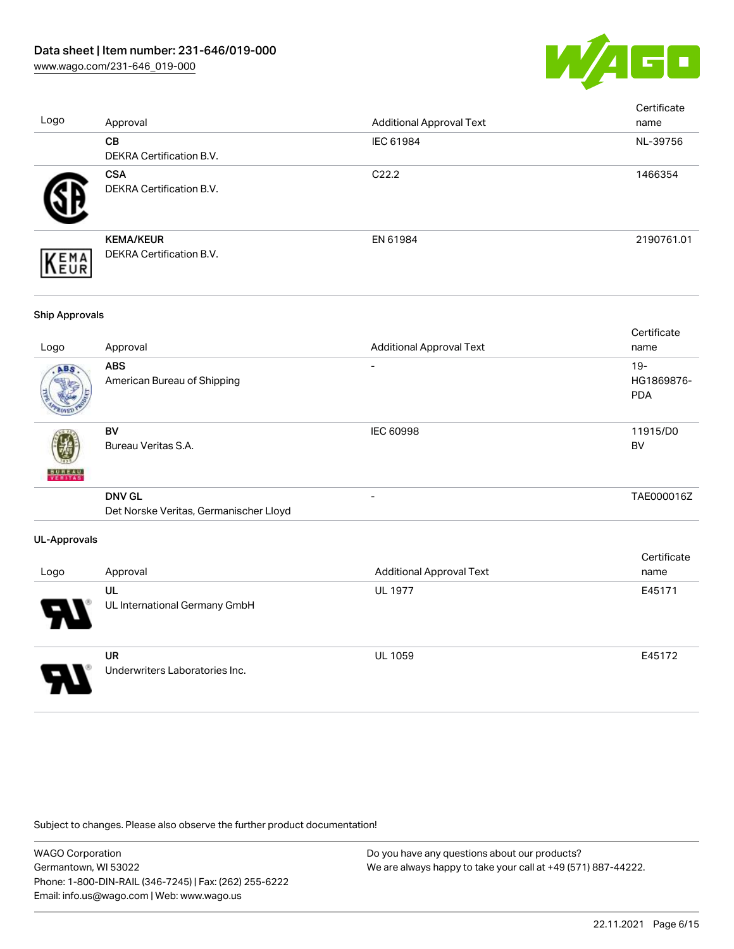

| Logo                  | Approval                                                | <b>Additional Approval Text</b> | Certificate<br>name             |
|-----------------------|---------------------------------------------------------|---------------------------------|---------------------------------|
|                       | CB<br>DEKRA Certification B.V.                          | IEC 61984                       | NL-39756                        |
|                       | <b>CSA</b><br>DEKRA Certification B.V.                  | C22.2                           | 1466354                         |
| EMA<br>EUR            | <b>KEMA/KEUR</b><br>DEKRA Certification B.V.            | EN 61984                        | 2190761.01                      |
| <b>Ship Approvals</b> |                                                         |                                 |                                 |
| Logo                  | Approval                                                | <b>Additional Approval Text</b> | Certificate<br>name             |
|                       | <b>ABS</b><br>American Bureau of Shipping               |                                 | 19-<br>HG1869876-<br><b>PDA</b> |
|                       | <b>BV</b><br>Bureau Veritas S.A.                        | <b>IEC 60998</b>                | 11915/D0<br><b>BV</b>           |
|                       | <b>DNV GL</b><br>Det Norske Veritas, Germanischer Lloyd |                                 | TAE000016Z                      |
| <b>UL-Approvals</b>   |                                                         |                                 |                                 |
| Logo                  | Approval                                                | <b>Additional Approval Text</b> | Certificate<br>name             |
|                       | UL<br>UL International Germany GmbH                     | <b>UL 1977</b>                  | E45171                          |
|                       | <b>UR</b><br>Underwriters Laboratories Inc.             | <b>UL 1059</b>                  | E45172                          |

Subject to changes. Please also observe the further product documentation!

WAGO Corporation Germantown, WI 53022 Phone: 1-800-DIN-RAIL (346-7245) | Fax: (262) 255-6222 Email: info.us@wago.com | Web: www.wago.us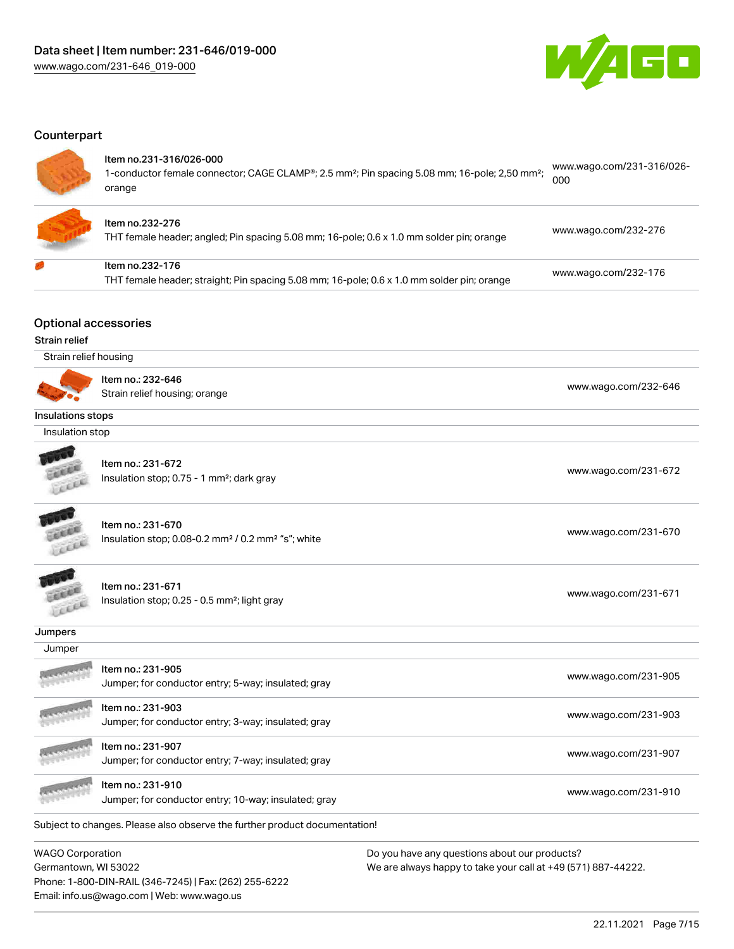

 $1004.21000$ 

#### **Counterpart**

#### Item no.231-316/026-000

| 1-conductor female connector; CAGE CLAMP®; 2.5 mm <sup>2</sup> ; Pin spacing 5.08 mm; 16-pole; 2,50 mm <sup>2</sup> ; | www.wago.com/231-316/026- |
|-----------------------------------------------------------------------------------------------------------------------|---------------------------|
|                                                                                                                       | 000                       |
| orange                                                                                                                |                           |



#### Item no.232-276

THT female header; angled; Pin spacing 5.08 mm; 16-pole; 0.6 x 1.0 mm solder pin; orange [www.wago.com/232-276](https://www.wago.com/232-276)

| ltem no.232-176                                                                            |                      |
|--------------------------------------------------------------------------------------------|----------------------|
| THT female header; straight; Pin spacing 5.08 mm; 16-pole; 0.6 x 1.0 mm solder pin; orange | www.wago.com/232-176 |

Optional accessories

#### Strain relief

Strain relief housing



Item no.: 232-646

Normoli 202 040<br>Strain relief housing; orange [www.wago.com/232-646](http://www.wago.com/232-646)

#### Insulations stops

Insulation stop



Item no.: 231-672 Insulation stop; 0.75 - 1 mm<sup>2</sup>; dark gray [www.wago.com/231-672](http://www.wago.com/231-672) www.wago.com/231-672



Item no.: 231-670

Insulation stop; 0.08-0.2 mm² / 0.2 mm² "s"; white [www.wago.com/231-670](http://www.wago.com/231-670) www.wago.com/231-670



Item no.: 231-671

Insulation stop; 0.25 - 0.5 mm²; light gray [www.wago.com/231-671](http://www.wago.com/231-671) www.wago.com/231-671

## **Jumpers**

| Jumper         |                                                                            |                      |
|----------------|----------------------------------------------------------------------------|----------------------|
| <b>ARTISTS</b> | Item no.: 231-905<br>Jumper; for conductor entry; 5-way; insulated; gray   | www.wago.com/231-905 |
|                | Item no.: 231-903<br>Jumper; for conductor entry; 3-way; insulated; gray   | www.wago.com/231-903 |
|                | Item no.: 231-907<br>Jumper; for conductor entry; 7-way; insulated; gray   | www.wago.com/231-907 |
|                | Item no.: 231-910<br>Jumper; for conductor entry; 10-way; insulated; gray  | www.wago.com/231-910 |
|                | Subject to changes. Please also observe the further product documentation! |                      |

WAGO Corporation Germantown, WI 53022 Phone: 1-800-DIN-RAIL (346-7245) | Fax: (262) 255-6222 Email: info.us@wago.com | Web: www.wago.us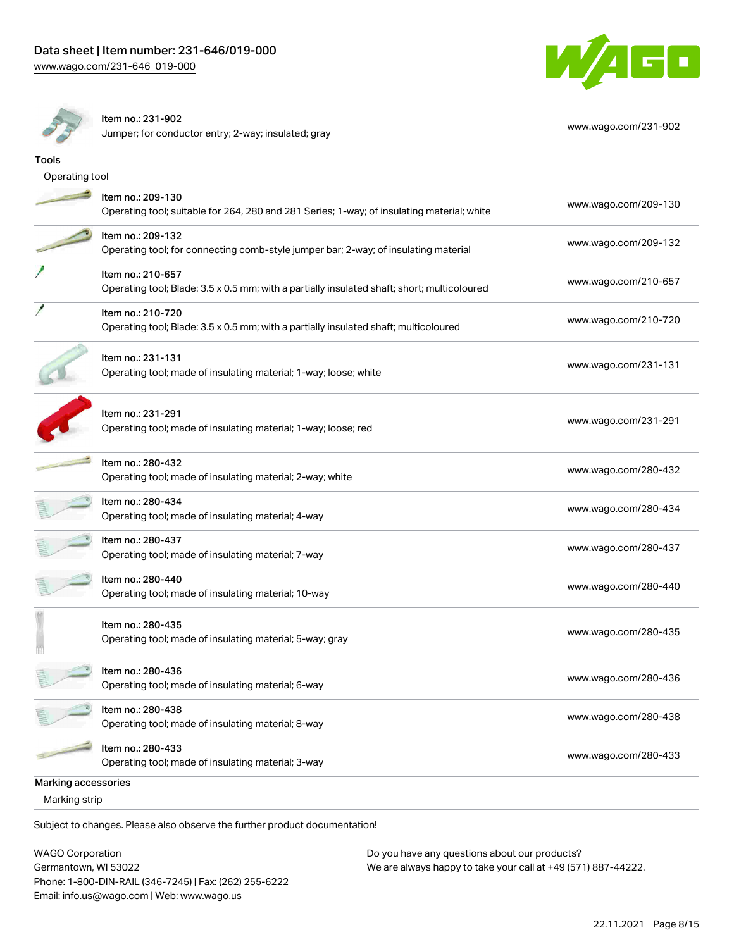[www.wago.com/231-646\\_019-000](http://www.wago.com/231-646_019-000)





#### Item no.: 231-902

Jumper; for conductor entry; 2-way; insulated; gray [www.wago.com/231-902](http://www.wago.com/231-902)

| Tools               |                                                                                             |                      |  |  |  |
|---------------------|---------------------------------------------------------------------------------------------|----------------------|--|--|--|
|                     |                                                                                             |                      |  |  |  |
|                     | Operating tool                                                                              |                      |  |  |  |
|                     | Item no.: 209-130                                                                           | www.wago.com/209-130 |  |  |  |
|                     | Operating tool; suitable for 264, 280 and 281 Series; 1-way; of insulating material; white  |                      |  |  |  |
|                     | Item no.: 209-132                                                                           |                      |  |  |  |
|                     | Operating tool; for connecting comb-style jumper bar; 2-way; of insulating material         | www.wago.com/209-132 |  |  |  |
|                     | Item no.: 210-657                                                                           |                      |  |  |  |
|                     | Operating tool; Blade: 3.5 x 0.5 mm; with a partially insulated shaft; short; multicoloured | www.wago.com/210-657 |  |  |  |
|                     | Item no.: 210-720                                                                           | www.wago.com/210-720 |  |  |  |
|                     | Operating tool; Blade: 3.5 x 0.5 mm; with a partially insulated shaft; multicoloured        |                      |  |  |  |
|                     | Item no.: 231-131                                                                           |                      |  |  |  |
|                     | Operating tool; made of insulating material; 1-way; loose; white                            | www.wago.com/231-131 |  |  |  |
|                     |                                                                                             |                      |  |  |  |
|                     | Item no.: 231-291                                                                           |                      |  |  |  |
|                     | Operating tool; made of insulating material; 1-way; loose; red                              | www.wago.com/231-291 |  |  |  |
|                     |                                                                                             |                      |  |  |  |
|                     | Item no.: 280-432                                                                           | www.wago.com/280-432 |  |  |  |
|                     | Operating tool; made of insulating material; 2-way; white                                   |                      |  |  |  |
|                     | Item no.: 280-434                                                                           | www.wago.com/280-434 |  |  |  |
|                     | Operating tool; made of insulating material; 4-way                                          |                      |  |  |  |
|                     | Item no.: 280-437                                                                           | www.wago.com/280-437 |  |  |  |
|                     | Operating tool; made of insulating material; 7-way                                          |                      |  |  |  |
|                     | Item no.: 280-440                                                                           | www.wago.com/280-440 |  |  |  |
|                     | Operating tool; made of insulating material; 10-way                                         |                      |  |  |  |
|                     | Item no.: 280-435                                                                           |                      |  |  |  |
|                     | Operating tool; made of insulating material; 5-way; gray                                    | www.wago.com/280-435 |  |  |  |
|                     |                                                                                             |                      |  |  |  |
|                     | Item no.: 280-436                                                                           | www.wago.com/280-436 |  |  |  |
|                     | Operating tool; made of insulating material; 6-way                                          |                      |  |  |  |
|                     | Item no.: 280-438                                                                           | www.wago.com/280-438 |  |  |  |
|                     | Operating tool; made of insulating material; 8-way                                          |                      |  |  |  |
|                     | Item no.: 280-433                                                                           | www.wago.com/280-433 |  |  |  |
|                     | Operating tool; made of insulating material; 3-way                                          |                      |  |  |  |
| Marking accessories |                                                                                             |                      |  |  |  |
| Marking strip       |                                                                                             |                      |  |  |  |
|                     |                                                                                             |                      |  |  |  |

Subject to changes. Please also observe the further product documentation!

WAGO Corporation Germantown, WI 53022 Phone: 1-800-DIN-RAIL (346-7245) | Fax: (262) 255-6222 Email: info.us@wago.com | Web: www.wago.us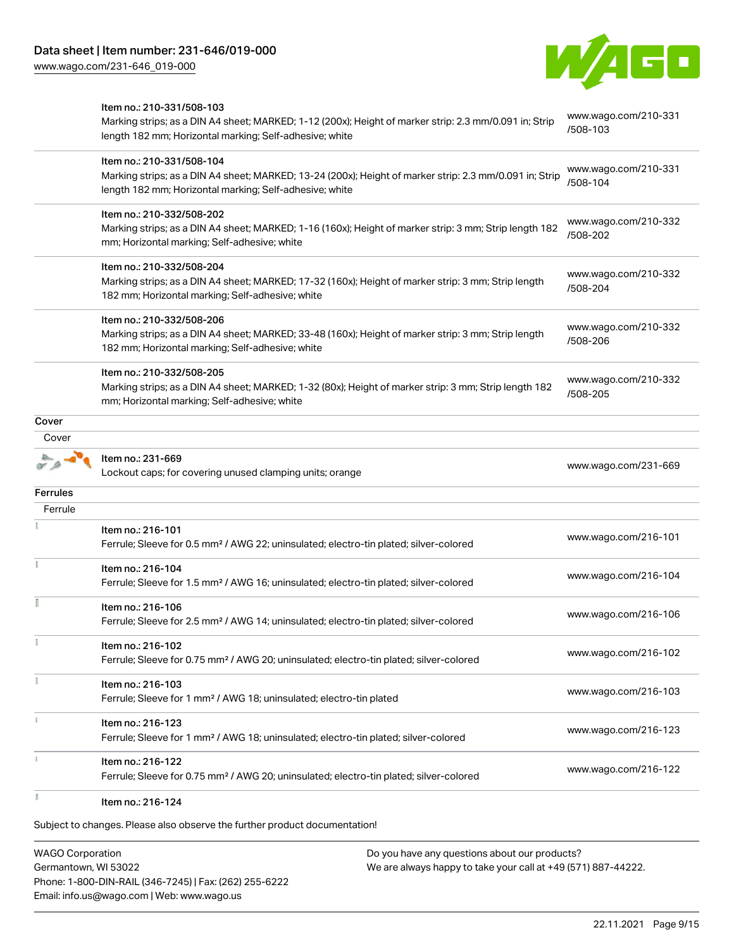[www.wago.com/231-646\\_019-000](http://www.wago.com/231-646_019-000)



|          | Item no.: 210-331/508-103<br>Marking strips; as a DIN A4 sheet; MARKED; 1-12 (200x); Height of marker strip: 2.3 mm/0.091 in; Strip<br>length 182 mm; Horizontal marking; Self-adhesive; white  | www.wago.com/210-331<br>/508-103 |
|----------|-------------------------------------------------------------------------------------------------------------------------------------------------------------------------------------------------|----------------------------------|
|          | Item no.: 210-331/508-104<br>Marking strips; as a DIN A4 sheet; MARKED; 13-24 (200x); Height of marker strip: 2.3 mm/0.091 in; Strip<br>length 182 mm; Horizontal marking; Self-adhesive; white | www.wago.com/210-331<br>/508-104 |
|          | Item no.: 210-332/508-202<br>Marking strips; as a DIN A4 sheet; MARKED; 1-16 (160x); Height of marker strip: 3 mm; Strip length 182<br>mm; Horizontal marking; Self-adhesive; white             | www.wago.com/210-332<br>/508-202 |
|          | Item no.: 210-332/508-204<br>Marking strips; as a DIN A4 sheet; MARKED; 17-32 (160x); Height of marker strip: 3 mm; Strip length<br>182 mm; Horizontal marking; Self-adhesive; white            | www.wago.com/210-332<br>/508-204 |
|          | Item no.: 210-332/508-206<br>Marking strips; as a DIN A4 sheet; MARKED; 33-48 (160x); Height of marker strip: 3 mm; Strip length<br>182 mm; Horizontal marking; Self-adhesive; white            | www.wago.com/210-332<br>/508-206 |
|          | Item no.: 210-332/508-205<br>Marking strips; as a DIN A4 sheet; MARKED; 1-32 (80x); Height of marker strip: 3 mm; Strip length 182<br>mm; Horizontal marking; Self-adhesive; white              | www.wago.com/210-332<br>/508-205 |
| Cover    |                                                                                                                                                                                                 |                                  |
| Cover    |                                                                                                                                                                                                 |                                  |
|          | Item no.: 231-669<br>Lockout caps; for covering unused clamping units; orange                                                                                                                   | www.wago.com/231-669             |
| Ferrules |                                                                                                                                                                                                 |                                  |
| Ferrule  |                                                                                                                                                                                                 |                                  |
|          | Item no.: 216-101<br>Ferrule; Sleeve for 0.5 mm <sup>2</sup> / AWG 22; uninsulated; electro-tin plated; silver-colored                                                                          | www.wago.com/216-101             |
|          | Item no.: 216-104<br>Ferrule; Sleeve for 1.5 mm <sup>2</sup> / AWG 16; uninsulated; electro-tin plated; silver-colored                                                                          | www.wago.com/216-104             |
|          | Item no.: 216-106<br>Ferrule; Sleeve for 2.5 mm <sup>2</sup> / AWG 14; uninsulated; electro-tin plated; silver-colored                                                                          | www.wago.com/216-106             |
|          | Item no.: 216-102<br>Ferrule; Sleeve for 0.75 mm <sup>2</sup> / AWG 20; uninsulated; electro-tin plated; silver-colored                                                                         | www.wago.com/216-102             |
|          | Item no.: 216-103<br>Ferrule; Sleeve for 1 mm <sup>2</sup> / AWG 18; uninsulated; electro-tin plated                                                                                            | www.wago.com/216-103             |
|          | Item no.: 216-123<br>Ferrule; Sleeve for 1 mm <sup>2</sup> / AWG 18; uninsulated; electro-tin plated; silver-colored                                                                            | www.wago.com/216-123             |
|          | Item no.: 216-122<br>Ferrule; Sleeve for 0.75 mm <sup>2</sup> / AWG 20; uninsulated; electro-tin plated; silver-colored                                                                         | www.wago.com/216-122             |
|          | Item no.: 216-124                                                                                                                                                                               |                                  |

Subject to changes. Please also observe the further product documentation!

WAGO Corporation Germantown, WI 53022 Phone: 1-800-DIN-RAIL (346-7245) | Fax: (262) 255-6222 Email: info.us@wago.com | Web: www.wago.us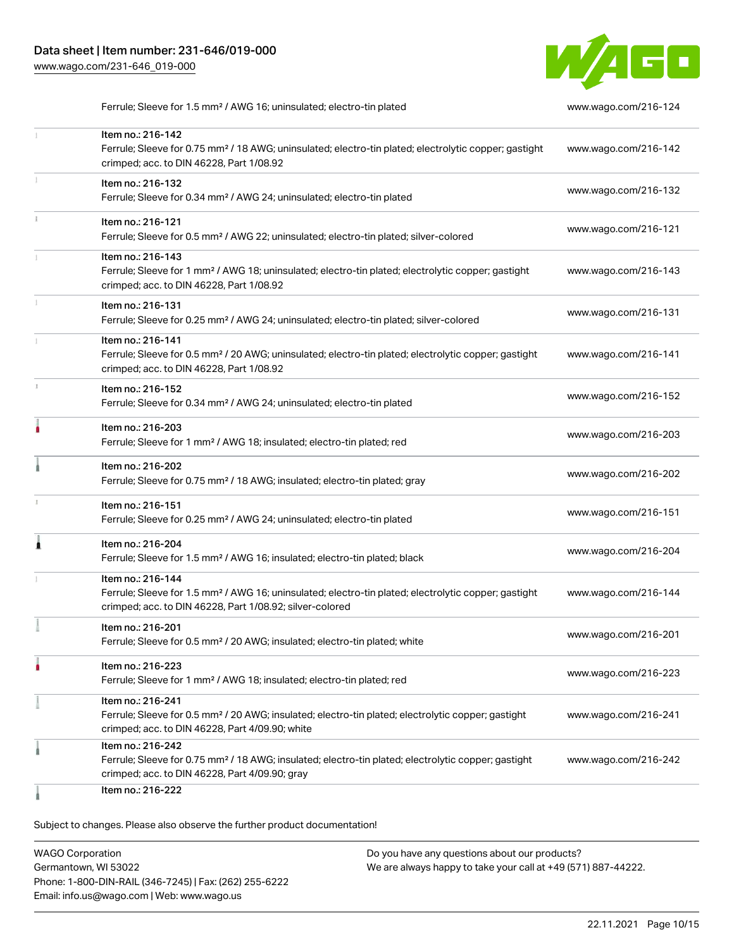

Ferrule; Sleeve for 1.5 mm² / AWG 16; uninsulated; electro-tin plated [www.wago.com/216-124](http://www.wago.com/216-124)

|    | Item no.: 216-142<br>Ferrule; Sleeve for 0.75 mm <sup>2</sup> / 18 AWG; uninsulated; electro-tin plated; electrolytic copper; gastight<br>crimped; acc. to DIN 46228, Part 1/08.92                | www.wago.com/216-142 |
|----|---------------------------------------------------------------------------------------------------------------------------------------------------------------------------------------------------|----------------------|
|    | Item no.: 216-132<br>Ferrule; Sleeve for 0.34 mm <sup>2</sup> / AWG 24; uninsulated; electro-tin plated                                                                                           | www.wago.com/216-132 |
|    | Item no.: 216-121<br>Ferrule; Sleeve for 0.5 mm <sup>2</sup> / AWG 22; uninsulated; electro-tin plated; silver-colored                                                                            | www.wago.com/216-121 |
|    | Item no.: 216-143<br>Ferrule; Sleeve for 1 mm <sup>2</sup> / AWG 18; uninsulated; electro-tin plated; electrolytic copper; gastight<br>crimped; acc. to DIN 46228, Part 1/08.92                   | www.wago.com/216-143 |
|    | Item no.: 216-131<br>Ferrule; Sleeve for 0.25 mm <sup>2</sup> / AWG 24; uninsulated; electro-tin plated; silver-colored                                                                           | www.wago.com/216-131 |
|    | Item no.: 216-141<br>Ferrule; Sleeve for 0.5 mm <sup>2</sup> / 20 AWG; uninsulated; electro-tin plated; electrolytic copper; gastight<br>crimped; acc. to DIN 46228, Part 1/08.92                 | www.wago.com/216-141 |
| s. | Item no.: 216-152<br>Ferrule; Sleeve for 0.34 mm <sup>2</sup> / AWG 24; uninsulated; electro-tin plated                                                                                           | www.wago.com/216-152 |
|    | Item no.: 216-203<br>Ferrule; Sleeve for 1 mm <sup>2</sup> / AWG 18; insulated; electro-tin plated; red                                                                                           | www.wago.com/216-203 |
|    | Item no.: 216-202<br>Ferrule; Sleeve for 0.75 mm <sup>2</sup> / 18 AWG; insulated; electro-tin plated; gray                                                                                       | www.wago.com/216-202 |
|    | Item no.: 216-151<br>Ferrule; Sleeve for 0.25 mm <sup>2</sup> / AWG 24; uninsulated; electro-tin plated                                                                                           | www.wago.com/216-151 |
| Â  | Item no.: 216-204<br>Ferrule; Sleeve for 1.5 mm <sup>2</sup> / AWG 16; insulated; electro-tin plated; black                                                                                       | www.wago.com/216-204 |
|    | Item no.: 216-144<br>Ferrule; Sleeve for 1.5 mm <sup>2</sup> / AWG 16; uninsulated; electro-tin plated; electrolytic copper; gastight<br>crimped; acc. to DIN 46228, Part 1/08.92; silver-colored | www.wago.com/216-144 |
|    | Item no.: 216-201<br>Ferrule; Sleeve for 0.5 mm <sup>2</sup> / 20 AWG; insulated; electro-tin plated; white                                                                                       | www.wago.com/216-201 |
|    | Item no.: 216-223<br>Ferrule; Sleeve for 1 mm <sup>2</sup> / AWG 18; insulated; electro-tin plated; red                                                                                           | www.wago.com/216-223 |
|    | Item no.: 216-241<br>Ferrule; Sleeve for 0.5 mm <sup>2</sup> / 20 AWG; insulated; electro-tin plated; electrolytic copper; gastight<br>crimped; acc. to DIN 46228, Part 4/09.90; white            | www.wago.com/216-241 |
|    | Item no.: 216-242<br>Ferrule; Sleeve for 0.75 mm <sup>2</sup> / 18 AWG; insulated; electro-tin plated; electrolytic copper; gastight<br>crimped; acc. to DIN 46228, Part 4/09.90; gray            | www.wago.com/216-242 |
|    | Item no.: 216-222                                                                                                                                                                                 |                      |

Subject to changes. Please also observe the further product documentation!

WAGO Corporation Germantown, WI 53022 Phone: 1-800-DIN-RAIL (346-7245) | Fax: (262) 255-6222 Email: info.us@wago.com | Web: www.wago.us Do you have any questions about our products? We are always happy to take your call at +49 (571) 887-44222.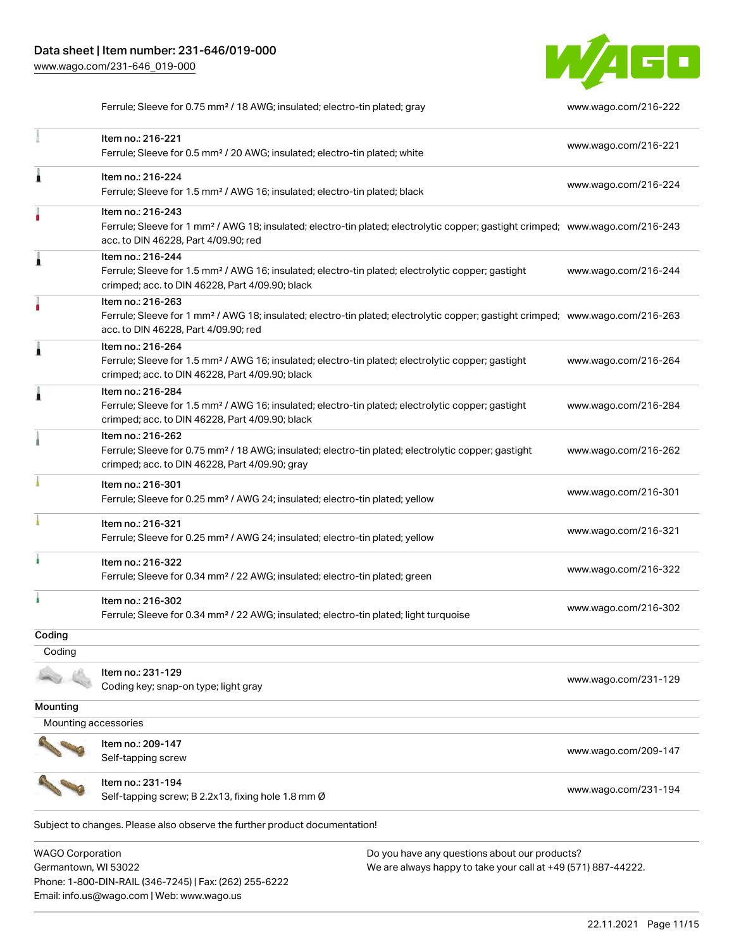Phone: 1-800-DIN-RAIL (346-7245) | Fax: (262) 255-6222

Email: info.us@wago.com | Web: www.wago.us



Ferrule; Sleeve for 0.75 mm<sup>2</sup> / 18 AWG; insulated; electro-tin plated; gray [www.wago.com/216-222](http://www.wago.com/216-222)

|                                                 | Item no.: 216-221<br>Ferrule; Sleeve for 0.5 mm <sup>2</sup> / 20 AWG; insulated; electro-tin plated; white                                                                                             |                                                                                                                | www.wago.com/216-221 |
|-------------------------------------------------|---------------------------------------------------------------------------------------------------------------------------------------------------------------------------------------------------------|----------------------------------------------------------------------------------------------------------------|----------------------|
| Â                                               | Item no.: 216-224<br>Ferrule; Sleeve for 1.5 mm <sup>2</sup> / AWG 16; insulated; electro-tin plated; black                                                                                             |                                                                                                                | www.wago.com/216-224 |
|                                                 | Item no.: 216-243<br>Ferrule; Sleeve for 1 mm <sup>2</sup> / AWG 18; insulated; electro-tin plated; electrolytic copper; gastight crimped; www.wago.com/216-243<br>acc. to DIN 46228, Part 4/09.90; red |                                                                                                                |                      |
|                                                 | Item no.: 216-244<br>Ferrule; Sleeve for 1.5 mm <sup>2</sup> / AWG 16; insulated; electro-tin plated; electrolytic copper; gastight<br>crimped; acc. to DIN 46228, Part 4/09.90; black                  |                                                                                                                | www.wago.com/216-244 |
|                                                 | Item no.: 216-263<br>Ferrule; Sleeve for 1 mm <sup>2</sup> / AWG 18; insulated; electro-tin plated; electrolytic copper; gastight crimped; www.wago.com/216-263<br>acc. to DIN 46228, Part 4/09.90; red |                                                                                                                |                      |
| Â                                               | Item no.: 216-264<br>Ferrule; Sleeve for 1.5 mm <sup>2</sup> / AWG 16; insulated; electro-tin plated; electrolytic copper; gastight<br>crimped; acc. to DIN 46228, Part 4/09.90; black                  |                                                                                                                | www.wago.com/216-264 |
| Â                                               | Item no.: 216-284<br>Ferrule; Sleeve for 1.5 mm <sup>2</sup> / AWG 16; insulated; electro-tin plated; electrolytic copper; gastight<br>crimped; acc. to DIN 46228, Part 4/09.90; black                  |                                                                                                                | www.wago.com/216-284 |
|                                                 | Item no.: 216-262<br>Ferrule; Sleeve for 0.75 mm <sup>2</sup> / 18 AWG; insulated; electro-tin plated; electrolytic copper; gastight<br>crimped; acc. to DIN 46228, Part 4/09.90; gray                  |                                                                                                                | www.wago.com/216-262 |
|                                                 | Item no.: 216-301<br>Ferrule; Sleeve for 0.25 mm <sup>2</sup> / AWG 24; insulated; electro-tin plated; yellow                                                                                           |                                                                                                                | www.wago.com/216-301 |
|                                                 | Item no.: 216-321<br>Ferrule; Sleeve for 0.25 mm <sup>2</sup> / AWG 24; insulated; electro-tin plated; yellow                                                                                           |                                                                                                                | www.wago.com/216-321 |
|                                                 | Item no.: 216-322<br>Ferrule; Sleeve for 0.34 mm <sup>2</sup> / 22 AWG; insulated; electro-tin plated; green                                                                                            |                                                                                                                | www.wago.com/216-322 |
| ł.                                              | Item no.: 216-302<br>Ferrule; Sleeve for 0.34 mm <sup>2</sup> / 22 AWG; insulated; electro-tin plated; light turquoise                                                                                  |                                                                                                                | www.wago.com/216-302 |
| Coding                                          |                                                                                                                                                                                                         |                                                                                                                |                      |
| Coding                                          |                                                                                                                                                                                                         |                                                                                                                |                      |
|                                                 | Item no.: 231-129<br>Coding key; snap-on type; light gray                                                                                                                                               |                                                                                                                | www.wago.com/231-129 |
| Mounting                                        |                                                                                                                                                                                                         |                                                                                                                |                      |
| Mounting accessories                            |                                                                                                                                                                                                         |                                                                                                                |                      |
|                                                 | Item no.: 209-147<br>Self-tapping screw                                                                                                                                                                 |                                                                                                                | www.wago.com/209-147 |
|                                                 | Item no.: 231-194<br>Self-tapping screw; B 2.2x13, fixing hole 1.8 mm Ø                                                                                                                                 |                                                                                                                | www.wago.com/231-194 |
|                                                 | Subject to changes. Please also observe the further product documentation!                                                                                                                              |                                                                                                                |                      |
| <b>WAGO Corporation</b><br>Germantown, WI 53022 |                                                                                                                                                                                                         | Do you have any questions about our products?<br>We are always happy to take your call at +49 (571) 887-44222. |                      |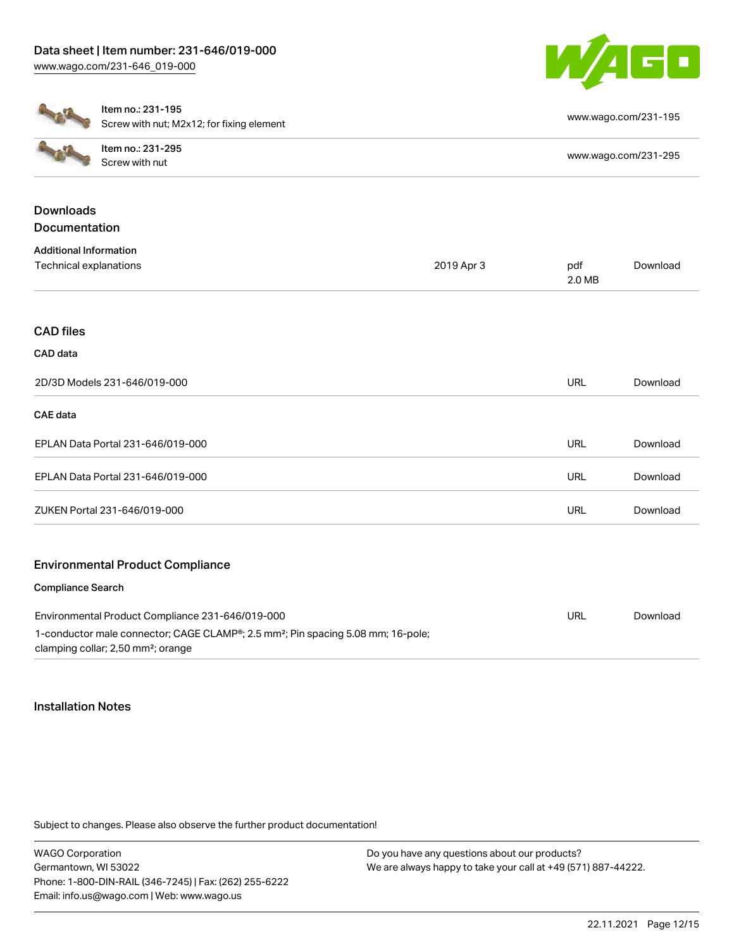

|                                                  | Item no.: 231-195<br>Screw with nut; M2x12; for fixing element                                                                                 |               |                      | www.wago.com/231-195 |  |
|--------------------------------------------------|------------------------------------------------------------------------------------------------------------------------------------------------|---------------|----------------------|----------------------|--|
|                                                  | Item no.: 231-295<br>Screw with nut                                                                                                            |               | www.wago.com/231-295 |                      |  |
|                                                  |                                                                                                                                                |               |                      |                      |  |
| <b>Downloads</b>                                 |                                                                                                                                                |               |                      |                      |  |
| <b>Documentation</b>                             |                                                                                                                                                |               |                      |                      |  |
| <b>Additional Information</b>                    |                                                                                                                                                |               |                      |                      |  |
| Technical explanations<br>2019 Apr 3             |                                                                                                                                                | pdf<br>2.0 MB | Download             |                      |  |
| <b>CAD files</b>                                 |                                                                                                                                                |               |                      |                      |  |
| CAD data                                         |                                                                                                                                                |               |                      |                      |  |
| 2D/3D Models 231-646/019-000                     |                                                                                                                                                | <b>URL</b>    | Download             |                      |  |
| <b>CAE</b> data                                  |                                                                                                                                                |               |                      |                      |  |
| EPLAN Data Portal 231-646/019-000                |                                                                                                                                                | <b>URL</b>    | Download             |                      |  |
| EPLAN Data Portal 231-646/019-000                |                                                                                                                                                |               | <b>URL</b>           | Download             |  |
| ZUKEN Portal 231-646/019-000                     |                                                                                                                                                | <b>URL</b>    | Download             |                      |  |
|                                                  | <b>Environmental Product Compliance</b>                                                                                                        |               |                      |                      |  |
| <b>Compliance Search</b>                         |                                                                                                                                                |               |                      |                      |  |
| Environmental Product Compliance 231-646/019-000 |                                                                                                                                                | <b>URL</b>    | Download             |                      |  |
|                                                  | 1-conductor male connector; CAGE CLAMP®; 2.5 mm <sup>2</sup> ; Pin spacing 5.08 mm; 16-pole;<br>clamping collar; 2,50 mm <sup>2</sup> ; orange |               |                      |                      |  |

#### Installation Notes

Subject to changes. Please also observe the further product documentation!

WAGO Corporation Germantown, WI 53022 Phone: 1-800-DIN-RAIL (346-7245) | Fax: (262) 255-6222 Email: info.us@wago.com | Web: www.wago.us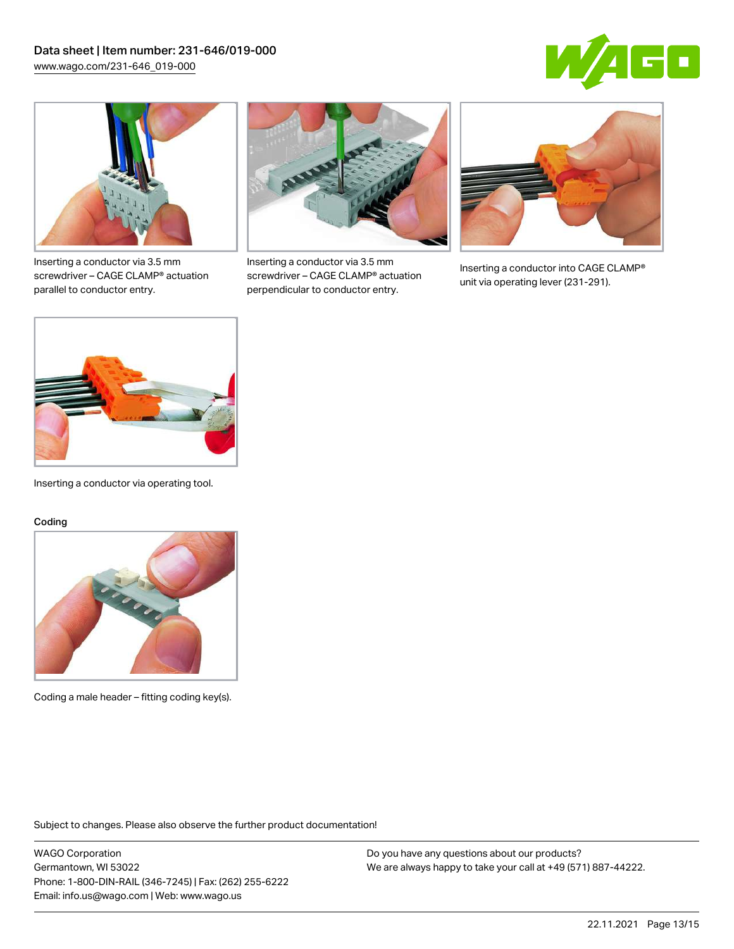



Inserting a conductor via 3.5 mm screwdriver – CAGE CLAMP® actuation parallel to conductor entry.



Inserting a conductor via 3.5 mm screwdriver – CAGE CLAMP® actuation perpendicular to conductor entry.



Inserting a conductor into CAGE CLAMP® unit via operating lever (231-291).



Inserting a conductor via operating tool.

#### Coding



Coding a male header – fitting coding key(s).

Subject to changes. Please also observe the further product documentation!

WAGO Corporation Germantown, WI 53022 Phone: 1-800-DIN-RAIL (346-7245) | Fax: (262) 255-6222 Email: info.us@wago.com | Web: www.wago.us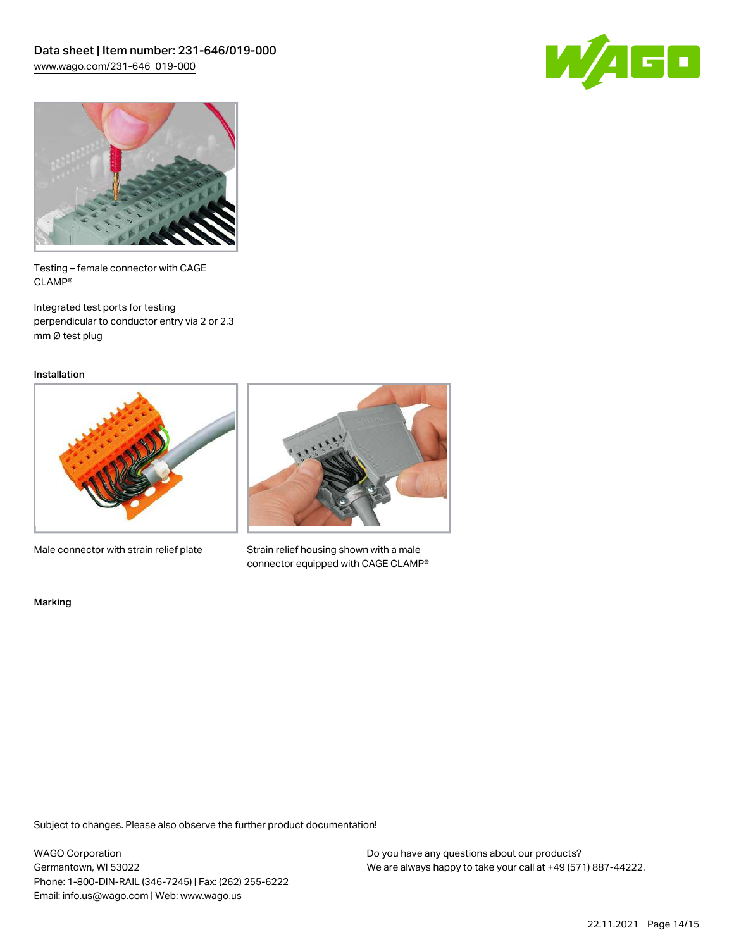



Testing – female connector with CAGE CLAMP®

Integrated test ports for testing perpendicular to conductor entry via 2 or 2.3 mm Ø test plug

Installation



Male connector with strain relief plate



Strain relief housing shown with a male connector equipped with CAGE CLAMP®

Marking

Subject to changes. Please also observe the further product documentation!

WAGO Corporation Germantown, WI 53022 Phone: 1-800-DIN-RAIL (346-7245) | Fax: (262) 255-6222 Email: info.us@wago.com | Web: www.wago.us